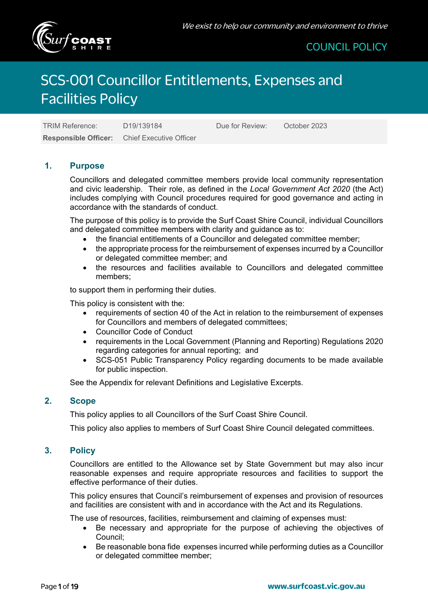

# SCS-001 Councillor Entitlements, Expenses and Facilities Policy

TRIM Reference: D19/139184 Due for Review: October 2023 **Responsible Officer:** Chief Executive Officer

#### **1. Purpose**

Councillors and delegated committee members provide local community representation and civic leadership. Their role, as defined in the *Local Government Act 2020* (the Act) includes complying with Council procedures required for good governance and acting in accordance with the standards of conduct.

The purpose of this policy is to provide the Surf Coast Shire Council, individual Councillors and delegated committee members with clarity and guidance as to:

- the financial entitlements of a Councillor and delegated committee member;
- the appropriate process for the reimbursement of expenses incurred by a Councillor or delegated committee member; and
- the resources and facilities available to Councillors and delegated committee members;

to support them in performing their duties.

This policy is consistent with the:

- requirements of section 40 of the Act in relation to the reimbursement of expenses for Councillors and members of delegated committees;
- Councillor Code of Conduct
- requirements in the Local Government (Planning and Reporting) Regulations 2020 regarding categories for annual reporting; and
- SCS-051 Public Transparency Policy regarding documents to be made available for public inspection.

See the Appendix for relevant Definitions and Legislative Excerpts.

#### **2. Scope**

This policy applies to all Councillors of the Surf Coast Shire Council.

This policy also applies to members of Surf Coast Shire Council delegated committees.

#### **3. Policy**

Councillors are entitled to the Allowance set by State Government but may also incur reasonable expenses and require appropriate resources and facilities to support the effective performance of their duties.

This policy ensures that Council's reimbursement of expenses and provision of resources and facilities are consistent with and in accordance with the Act and its Regulations.

The use of resources, facilities, reimbursement and claiming of expenses must:

- Be necessary and appropriate for the purpose of achieving the objectives of Council;
- Be reasonable bona fide expenses incurred while performing duties as a Councillor or delegated committee member;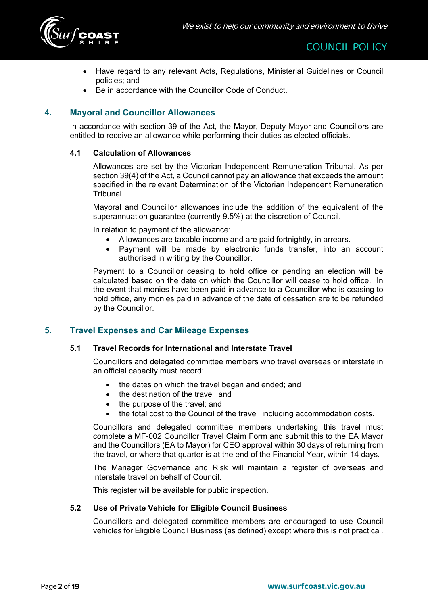

- Have regard to any relevant Acts, Regulations, Ministerial Guidelines or Council policies; and
- Be in accordance with the Councillor Code of Conduct.

### **4. Mayoral and Councillor Allowances**

In accordance with section 39 of the Act, the Mayor, Deputy Mayor and Councillors are entitled to receive an allowance while performing their duties as elected officials.

#### **4.1 Calculation of Allowances**

Allowances are set by the Victorian Independent Remuneration Tribunal. As per section 39(4) of the Act, a Council cannot pay an allowance that exceeds the amount specified in the relevant Determination of the Victorian Independent Remuneration **Tribunal** 

Mayoral and Councillor allowances include the addition of the equivalent of the superannuation guarantee (currently 9.5%) at the discretion of Council.

In relation to payment of the allowance:

- Allowances are taxable income and are paid fortnightly, in arrears.
- Payment will be made by electronic funds transfer, into an account authorised in writing by the Councillor.

Payment to a Councillor ceasing to hold office or pending an election will be calculated based on the date on which the Councillor will cease to hold office. In the event that monies have been paid in advance to a Councillor who is ceasing to hold office, any monies paid in advance of the date of cessation are to be refunded by the Councillor.

#### **5. Travel Expenses and Car Mileage Expenses**

#### **5.1 Travel Records for International and Interstate Travel**

Councillors and delegated committee members who travel overseas or interstate in an official capacity must record:

- the dates on which the travel began and ended; and
- the destination of the travel; and
- the purpose of the travel; and
- the total cost to the Council of the travel, including accommodation costs.

Councillors and delegated committee members undertaking this travel must complete a MF-002 Councillor Travel Claim Form and submit this to the EA Mayor and the Councillors (EA to Mayor) for CEO approval within 30 days of returning from the travel, or where that quarter is at the end of the Financial Year, within 14 days.

The Manager Governance and Risk will maintain a register of overseas and interstate travel on behalf of Council.

This register will be available for public inspection.

#### **5.2 Use of Private Vehicle for Eligible Council Business**

Councillors and delegated committee members are encouraged to use Council vehicles for Eligible Council Business (as defined) except where this is not practical.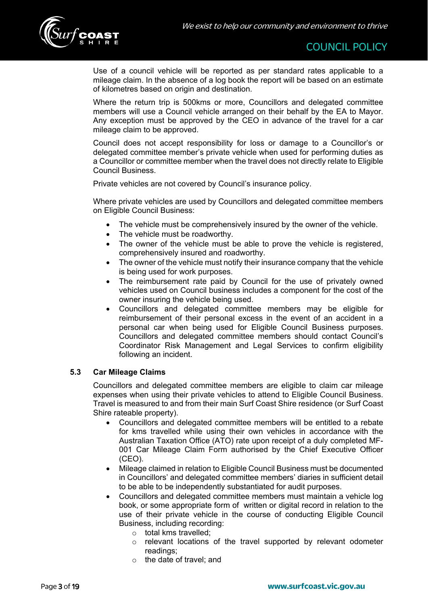

Use of a council vehicle will be reported as per standard rates applicable to a mileage claim. In the absence of a log book the report will be based on an estimate of kilometres based on origin and destination.

Where the return trip is 500kms or more, Councillors and delegated committee members will use a Council vehicle arranged on their behalf by the EA to Mayor. Any exception must be approved by the CEO in advance of the travel for a car mileage claim to be approved.

Council does not accept responsibility for loss or damage to a Councillor's or delegated committee member's private vehicle when used for performing duties as a Councillor or committee member when the travel does not directly relate to Eligible Council Business.

Private vehicles are not covered by Council's insurance policy.

Where private vehicles are used by Councillors and delegated committee members on Eligible Council Business:

- The vehicle must be comprehensively insured by the owner of the vehicle.
- The vehicle must be roadworthy.
- The owner of the vehicle must be able to prove the vehicle is registered, comprehensively insured and roadworthy.
- The owner of the vehicle must notify their insurance company that the vehicle is being used for work purposes.
- The reimbursement rate paid by Council for the use of privately owned vehicles used on Council business includes a component for the cost of the owner insuring the vehicle being used.
- Councillors and delegated committee members may be eligible for reimbursement of their personal excess in the event of an accident in a personal car when being used for Eligible Council Business purposes. Councillors and delegated committee members should contact Council's Coordinator Risk Management and Legal Services to confirm eligibility following an incident.

#### **5.3 Car Mileage Claims**

Councillors and delegated committee members are eligible to claim car mileage expenses when using their private vehicles to attend to Eligible Council Business. Travel is measured to and from their main Surf Coast Shire residence (or Surf Coast Shire rateable property).

- Councillors and delegated committee members will be entitled to a rebate for kms travelled while using their own vehicles in accordance with the Australian Taxation Office (ATO) rate upon receipt of a duly completed MF-001 Car Mileage Claim Form authorised by the Chief Executive Officer (CEO).
- Mileage claimed in relation to Eligible Council Business must be documented in Councillors' and delegated committee members' diaries in sufficient detail to be able to be independently substantiated for audit purposes.
- Councillors and delegated committee members must maintain a vehicle log book, or some appropriate form of written or digital record in relation to the use of their private vehicle in the course of conducting Eligible Council Business, including recording:
	- o total kms travelled;
	- o relevant locations of the travel supported by relevant odometer readings;
	- o the date of travel; and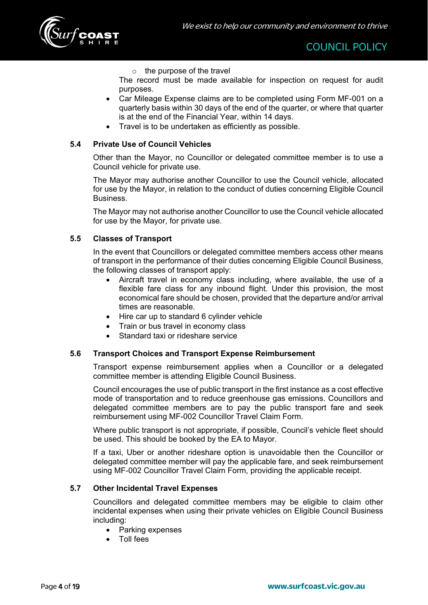

 $\circ$  the purpose of the travel

The record must be made available for inspection on request for audit purposes.

- Car Mileage Expense claims are to be completed using Form MF-001 on a quarterly basis within 30 days of the end of the quarter, or where that quarter is at the end of the Financial Year, within 14 days.
- Travel is to be undertaken as efficiently as possible.

#### **5.4 Private Use of Council Vehicles**

Other than the Mayor, no Councillor or delegated committee member is to use a Council vehicle for private use.

The Mayor may authorise another Councillor to use the Council vehicle, allocated for use by the Mayor, in relation to the conduct of duties concerning Eligible Council **Business** 

The Mayor may not authorise another Councillor to use the Council vehicle allocated for use by the Mayor, for private use.

#### **5.5 Classes of Transport**

In the event that Councillors or delegated committee members access other means of transport in the performance of their duties concerning Eligible Council Business, the following classes of transport apply:

- Aircraft travel in economy class including, where available, the use of a flexible fare class for any inbound flight. Under this provision, the most economical fare should be chosen, provided that the departure and/or arrival times are reasonable.
- Hire car up to standard 6 cylinder vehicle
- Train or bus travel in economy class
- Standard taxi or rideshare service

#### **5.6 Transport Choices and Transport Expense Reimbursement**

Transport expense reimbursement applies when a Councillor or a delegated committee member is attending Eligible Council Business.

Council encourages the use of public transport in the first instance as a cost effective mode of transportation and to reduce greenhouse gas emissions. Councillors and delegated committee members are to pay the public transport fare and seek reimbursement using MF-002 Councillor Travel Claim Form.

Where public transport is not appropriate, if possible, Council's vehicle fleet should be used. This should be booked by the EA to Mayor.

If a taxi, Uber or another rideshare option is unavoidable then the Councillor or delegated committee member will pay the applicable fare, and seek reimbursement using MF-002 Councillor Travel Claim Form, providing the applicable receipt.

#### **5.7 Other Incidental Travel Expenses**

Councillors and delegated committee members may be eligible to claim other incidental expenses when using their private vehicles on Eligible Council Business including:

- Parking expenses
- Toll fees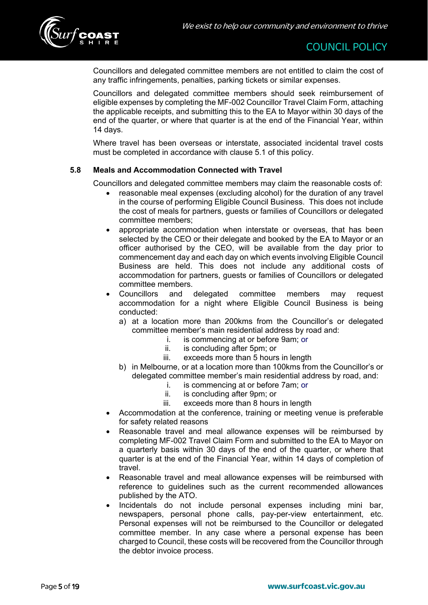

Councillors and delegated committee members are not entitled to claim the cost of any traffic infringements, penalties, parking tickets or similar expenses.

Councillors and delegated committee members should seek reimbursement of eligible expenses by completing the MF-002 Councillor Travel Claim Form, attaching the applicable receipts, and submitting this to the EA to Mayor within 30 days of the end of the quarter, or where that quarter is at the end of the Financial Year, within 14 days.

Where travel has been overseas or interstate, associated incidental travel costs must be completed in accordance with clause 5.1 of this policy.

#### **5.8 Meals and Accommodation Connected with Travel**

Councillors and delegated committee members may claim the reasonable costs of:

- reasonable meal expenses (excluding alcohol) for the duration of any travel in the course of performing Eligible Council Business. This does not include the cost of meals for partners, guests or families of Councillors or delegated committee members;
- appropriate accommodation when interstate or overseas, that has been selected by the CEO or their delegate and booked by the EA to Mayor or an officer authorised by the CEO, will be available from the day prior to commencement day and each day on which events involving Eligible Council Business are held. This does not include any additional costs of accommodation for partners, guests or families of Councillors or delegated committee members.
- Councillors and delegated committee members may request accommodation for a night where Eligible Council Business is being conducted:
	- a) at a location more than 200kms from the Councillor's or delegated committee member's main residential address by road and:
		- i. is commencing at or before 9am; or
			- ii. is concluding after 5pm; or
		- iii. exceeds more than 5 hours in length
	- b) in Melbourne, or at a location more than 100kms from the Councillor's or delegated committee member's main residential address by road, and:
		- i. is commencing at or before 7am; or
		- ii. is concluding after 9pm; or
		- iii. exceeds more than 8 hours in length
- Accommodation at the conference, training or meeting venue is preferable for safety related reasons
- Reasonable travel and meal allowance expenses will be reimbursed by completing MF-002 Travel Claim Form and submitted to the EA to Mayor on a quarterly basis within 30 days of the end of the quarter, or where that quarter is at the end of the Financial Year, within 14 days of completion of travel.
- Reasonable travel and meal allowance expenses will be reimbursed with reference to guidelines such as the current recommended allowances published by the ATO.
- Incidentals do not include personal expenses including mini bar, newspapers, personal phone calls, pay-per-view entertainment, etc. Personal expenses will not be reimbursed to the Councillor or delegated committee member. In any case where a personal expense has been charged to Council, these costs will be recovered from the Councillor through the debtor invoice process.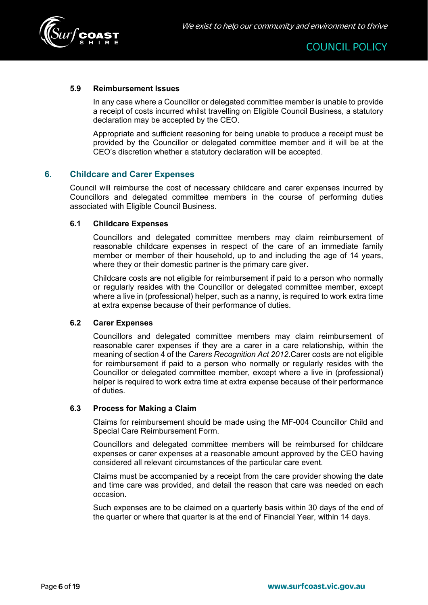

#### **5.9 Reimbursement Issues**

In any case where a Councillor or delegated committee member is unable to provide a receipt of costs incurred whilst travelling on Eligible Council Business, a statutory declaration may be accepted by the CEO.

Appropriate and sufficient reasoning for being unable to produce a receipt must be provided by the Councillor or delegated committee member and it will be at the CEO's discretion whether a statutory declaration will be accepted.

#### **6. Childcare and Carer Expenses**

Council will reimburse the cost of necessary childcare and carer expenses incurred by Councillors and delegated committee members in the course of performing duties associated with Eligible Council Business.

#### **6.1 Childcare Expenses**

Councillors and delegated committee members may claim reimbursement of reasonable childcare expenses in respect of the care of an immediate family member or member of their household, up to and including the age of 14 years, where they or their domestic partner is the primary care giver.

Childcare costs are not eligible for reimbursement if paid to a person who normally or regularly resides with the Councillor or delegated committee member, except where a live in (professional) helper, such as a nanny, is required to work extra time at extra expense because of their performance of duties.

#### **6.2 Carer Expenses**

Councillors and delegated committee members may claim reimbursement of reasonable carer expenses if they are a carer in a care relationship, within the meaning of section 4 of the *Carers Recognition Act 2012*.Carer costs are not eligible for reimbursement if paid to a person who normally or regularly resides with the Councillor or delegated committee member, except where a live in (professional) helper is required to work extra time at extra expense because of their performance of duties.

#### **6.3 Process for Making a Claim**

Claims for reimbursement should be made using the MF-004 Councillor Child and Special Care Reimbursement Form.

Councillors and delegated committee members will be reimbursed for childcare expenses or carer expenses at a reasonable amount approved by the CEO having considered all relevant circumstances of the particular care event.

Claims must be accompanied by a receipt from the care provider showing the date and time care was provided, and detail the reason that care was needed on each occasion.

Such expenses are to be claimed on a quarterly basis within 30 days of the end of the quarter or where that quarter is at the end of Financial Year, within 14 days.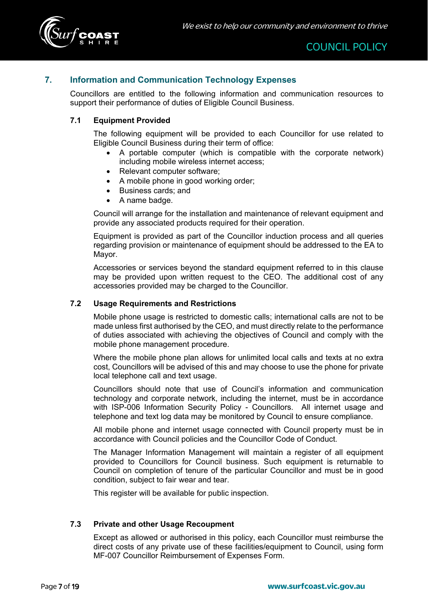

### **7. Information and Communication Technology Expenses**

Councillors are entitled to the following information and communication resources to support their performance of duties of Eligible Council Business.

#### **7.1 Equipment Provided**

The following equipment will be provided to each Councillor for use related to Eligible Council Business during their term of office:

- A portable computer (which is compatible with the corporate network) including mobile wireless internet access;
- Relevant computer software:
- A mobile phone in good working order;
- Business cards; and
- A name badge.

Council will arrange for the installation and maintenance of relevant equipment and provide any associated products required for their operation.

Equipment is provided as part of the Councillor induction process and all queries regarding provision or maintenance of equipment should be addressed to the EA to Mayor.

Accessories or services beyond the standard equipment referred to in this clause may be provided upon written request to the CEO. The additional cost of any accessories provided may be charged to the Councillor.

#### **7.2 Usage Requirements and Restrictions**

Mobile phone usage is restricted to domestic calls; international calls are not to be made unless first authorised by the CEO, and must directly relate to the performance of duties associated with achieving the objectives of Council and comply with the mobile phone management procedure.

Where the mobile phone plan allows for unlimited local calls and texts at no extra cost, Councillors will be advised of this and may choose to use the phone for private local telephone call and text usage.

Councillors should note that use of Council's information and communication technology and corporate network, including the internet, must be in accordance with ISP-006 Information Security Policy - Councillors. All internet usage and telephone and text log data may be monitored by Council to ensure compliance.

All mobile phone and internet usage connected with Council property must be in accordance with Council policies and the Councillor Code of Conduct.

The Manager Information Management will maintain a register of all equipment provided to Councillors for Council business. Such equipment is returnable to Council on completion of tenure of the particular Councillor and must be in good condition, subject to fair wear and tear.

This register will be available for public inspection.

#### **7.3 Private and other Usage Recoupment**

Except as allowed or authorised in this policy, each Councillor must reimburse the direct costs of any private use of these facilities/equipment to Council, using form MF-007 Councillor Reimbursement of Expenses Form.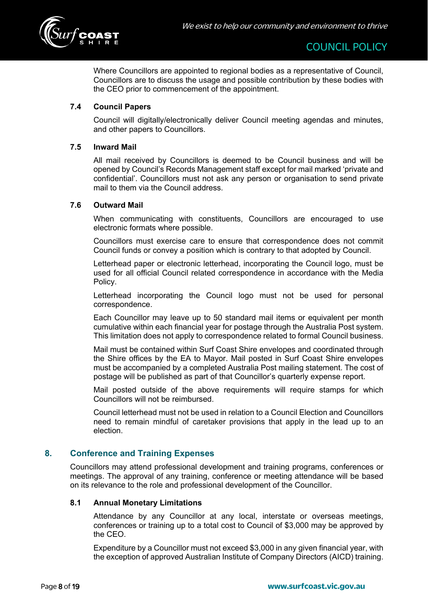

Where Councillors are appointed to regional bodies as a representative of Council, Councillors are to discuss the usage and possible contribution by these bodies with the CEO prior to commencement of the appointment.

#### **7.4 Council Papers**

Council will digitally/electronically deliver Council meeting agendas and minutes, and other papers to Councillors.

#### **7.5 Inward Mail**

All mail received by Councillors is deemed to be Council business and will be opened by Council's Records Management staff except for mail marked 'private and confidential'. Councillors must not ask any person or organisation to send private mail to them via the Council address.

#### **7.6 Outward Mail**

When communicating with constituents, Councillors are encouraged to use electronic formats where possible.

Councillors must exercise care to ensure that correspondence does not commit Council funds or convey a position which is contrary to that adopted by Council.

Letterhead paper or electronic letterhead, incorporating the Council logo, must be used for all official Council related correspondence in accordance with the Media Policy.

Letterhead incorporating the Council logo must not be used for personal correspondence.

Each Councillor may leave up to 50 standard mail items or equivalent per month cumulative within each financial year for postage through the Australia Post system. This limitation does not apply to correspondence related to formal Council business.

Mail must be contained within Surf Coast Shire envelopes and coordinated through the Shire offices by the EA to Mayor. Mail posted in Surf Coast Shire envelopes must be accompanied by a completed Australia Post mailing statement. The cost of postage will be published as part of that Councillor's quarterly expense report.

Mail posted outside of the above requirements will require stamps for which Councillors will not be reimbursed.

Council letterhead must not be used in relation to a Council Election and Councillors need to remain mindful of caretaker provisions that apply in the lead up to an election.

#### **8. Conference and Training Expenses**

Councillors may attend professional development and training programs, conferences or meetings. The approval of any training, conference or meeting attendance will be based on its relevance to the role and professional development of the Councillor.

#### **8.1 Annual Monetary Limitations**

Attendance by any Councillor at any local, interstate or overseas meetings, conferences or training up to a total cost to Council of \$3,000 may be approved by the CEO.

Expenditure by a Councillor must not exceed \$3,000 in any given financial year, with the exception of approved Australian Institute of Company Directors (AICD) training.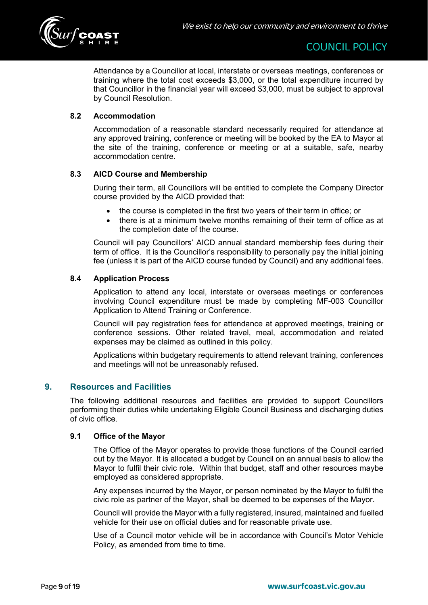

Attendance by a Councillor at local, interstate or overseas meetings, conferences or training where the total cost exceeds \$3,000, or the total expenditure incurred by that Councillor in the financial year will exceed \$3,000, must be subject to approval by Council Resolution.

#### **8.2 Accommodation**

Accommodation of a reasonable standard necessarily required for attendance at any approved training, conference or meeting will be booked by the EA to Mayor at the site of the training, conference or meeting or at a suitable, safe, nearby accommodation centre.

#### **8.3 AICD Course and Membership**

During their term, all Councillors will be entitled to complete the Company Director course provided by the AICD provided that:

- the course is completed in the first two years of their term in office; or
- there is at a minimum twelve months remaining of their term of office as at the completion date of the course.

Council will pay Councillors' AICD annual standard membership fees during their term of office. It is the Councillor's responsibility to personally pay the initial joining fee (unless it is part of the AICD course funded by Council) and any additional fees.

#### **8.4 Application Process**

Application to attend any local, interstate or overseas meetings or conferences involving Council expenditure must be made by completing MF-003 Councillor Application to Attend Training or Conference.

Council will pay registration fees for attendance at approved meetings, training or conference sessions. Other related travel, meal, accommodation and related expenses may be claimed as outlined in this policy.

Applications within budgetary requirements to attend relevant training, conferences and meetings will not be unreasonably refused.

#### **9. Resources and Facilities**

The following additional resources and facilities are provided to support Councillors performing their duties while undertaking Eligible Council Business and discharging duties of civic office.

#### **9.1 Office of the Mayor**

The Office of the Mayor operates to provide those functions of the Council carried out by the Mayor. It is allocated a budget by Council on an annual basis to allow the Mayor to fulfil their civic role. Within that budget, staff and other resources maybe employed as considered appropriate.

Any expenses incurred by the Mayor, or person nominated by the Mayor to fulfil the civic role as partner of the Mayor, shall be deemed to be expenses of the Mayor.

Council will provide the Mayor with a fully registered, insured, maintained and fuelled vehicle for their use on official duties and for reasonable private use.

Use of a Council motor vehicle will be in accordance with Council's Motor Vehicle Policy, as amended from time to time.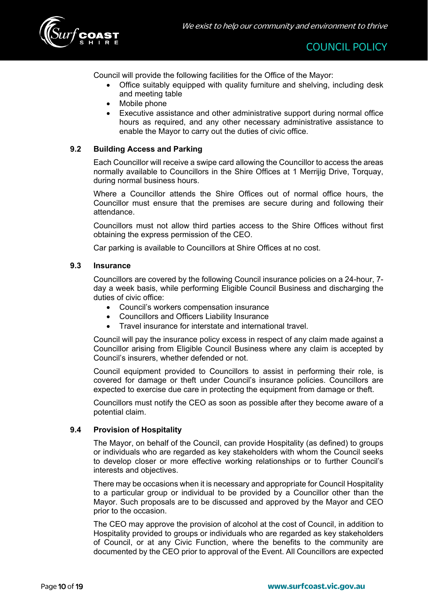

Council will provide the following facilities for the Office of the Mayor:

- Office suitably equipped with quality furniture and shelving, including desk and meeting table
- Mobile phone
- Executive assistance and other administrative support during normal office hours as required, and any other necessary administrative assistance to enable the Mayor to carry out the duties of civic office.

#### **9.2 Building Access and Parking**

Each Councillor will receive a swipe card allowing the Councillor to access the areas normally available to Councillors in the Shire Offices at 1 Merrijig Drive, Torquay, during normal business hours.

Where a Councillor attends the Shire Offices out of normal office hours, the Councillor must ensure that the premises are secure during and following their attendance.

Councillors must not allow third parties access to the Shire Offices without first obtaining the express permission of the CEO.

Car parking is available to Councillors at Shire Offices at no cost.

#### **9.3 Insurance**

Councillors are covered by the following Council insurance policies on a 24-hour, 7 day a week basis, while performing Eligible Council Business and discharging the duties of civic office:

- Council's workers compensation insurance
- Councillors and Officers Liability Insurance
- Travel insurance for interstate and international travel.

Council will pay the insurance policy excess in respect of any claim made against a Councillor arising from Eligible Council Business where any claim is accepted by Council's insurers, whether defended or not.

Council equipment provided to Councillors to assist in performing their role, is covered for damage or theft under Council's insurance policies. Councillors are expected to exercise due care in protecting the equipment from damage or theft.

Councillors must notify the CEO as soon as possible after they become aware of a potential claim.

#### **9.4 Provision of Hospitality**

The Mayor, on behalf of the Council, can provide Hospitality (as defined) to groups or individuals who are regarded as key stakeholders with whom the Council seeks to develop closer or more effective working relationships or to further Council's interests and objectives.

There may be occasions when it is necessary and appropriate for Council Hospitality to a particular group or individual to be provided by a Councillor other than the Mayor. Such proposals are to be discussed and approved by the Mayor and CEO prior to the occasion.

The CEO may approve the provision of alcohol at the cost of Council, in addition to Hospitality provided to groups or individuals who are regarded as key stakeholders of Council, or at any Civic Function, where the benefits to the community are documented by the CEO prior to approval of the Event. All Councillors are expected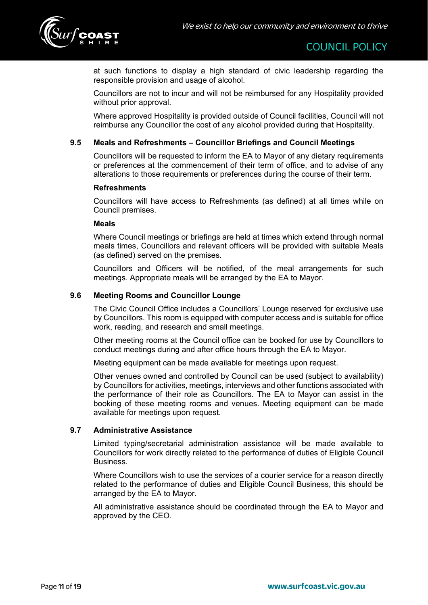

at such functions to display a high standard of civic leadership regarding the responsible provision and usage of alcohol.

Councillors are not to incur and will not be reimbursed for any Hospitality provided without prior approval.

Where approved Hospitality is provided outside of Council facilities, Council will not reimburse any Councillor the cost of any alcohol provided during that Hospitality.

#### **9.5 Meals and Refreshments – Councillor Briefings and Council Meetings**

Councillors will be requested to inform the EA to Mayor of any dietary requirements or preferences at the commencement of their term of office, and to advise of any alterations to those requirements or preferences during the course of their term.

#### **Refreshments**

Councillors will have access to Refreshments (as defined) at all times while on Council premises.

#### **Meals**

Where Council meetings or briefings are held at times which extend through normal meals times, Councillors and relevant officers will be provided with suitable Meals (as defined) served on the premises.

Councillors and Officers will be notified, of the meal arrangements for such meetings. Appropriate meals will be arranged by the EA to Mayor.

#### **9.6 Meeting Rooms and Councillor Lounge**

The Civic Council Office includes a Councillors' Lounge reserved for exclusive use by Councillors. This room is equipped with computer access and is suitable for office work, reading, and research and small meetings.

Other meeting rooms at the Council office can be booked for use by Councillors to conduct meetings during and after office hours through the EA to Mayor.

Meeting equipment can be made available for meetings upon request.

Other venues owned and controlled by Council can be used (subject to availability) by Councillors for activities, meetings, interviews and other functions associated with the performance of their role as Councillors. The EA to Mayor can assist in the booking of these meeting rooms and venues. Meeting equipment can be made available for meetings upon request.

#### **9.7 Administrative Assistance**

Limited typing/secretarial administration assistance will be made available to Councillors for work directly related to the performance of duties of Eligible Council **Business** 

Where Councillors wish to use the services of a courier service for a reason directly related to the performance of duties and Eligible Council Business, this should be arranged by the EA to Mayor.

All administrative assistance should be coordinated through the EA to Mayor and approved by the CEO.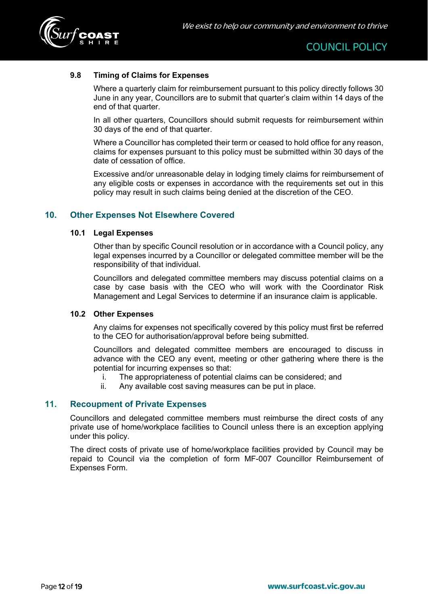

#### **9.8 Timing of Claims for Expenses**

Where a quarterly claim for reimbursement pursuant to this policy directly follows 30 June in any year, Councillors are to submit that quarter's claim within 14 days of the end of that quarter.

In all other quarters, Councillors should submit requests for reimbursement within 30 days of the end of that quarter.

Where a Councillor has completed their term or ceased to hold office for any reason, claims for expenses pursuant to this policy must be submitted within 30 days of the date of cessation of office.

Excessive and/or unreasonable delay in lodging timely claims for reimbursement of any eligible costs or expenses in accordance with the requirements set out in this policy may result in such claims being denied at the discretion of the CEO.

#### **10. Other Expenses Not Elsewhere Covered**

#### **10.1 Legal Expenses**

Other than by specific Council resolution or in accordance with a Council policy, any legal expenses incurred by a Councillor or delegated committee member will be the responsibility of that individual.

Councillors and delegated committee members may discuss potential claims on a case by case basis with the CEO who will work with the Coordinator Risk Management and Legal Services to determine if an insurance claim is applicable.

#### **10.2 Other Expenses**

Any claims for expenses not specifically covered by this policy must first be referred to the CEO for authorisation/approval before being submitted.

Councillors and delegated committee members are encouraged to discuss in advance with the CEO any event, meeting or other gathering where there is the potential for incurring expenses so that:

- i. The appropriateness of potential claims can be considered; and
- ii. Any available cost saving measures can be put in place.

#### **11. Recoupment of Private Expenses**

Councillors and delegated committee members must reimburse the direct costs of any private use of home/workplace facilities to Council unless there is an exception applying under this policy.

The direct costs of private use of home/workplace facilities provided by Council may be repaid to Council via the completion of form MF-007 Councillor Reimbursement of Expenses Form.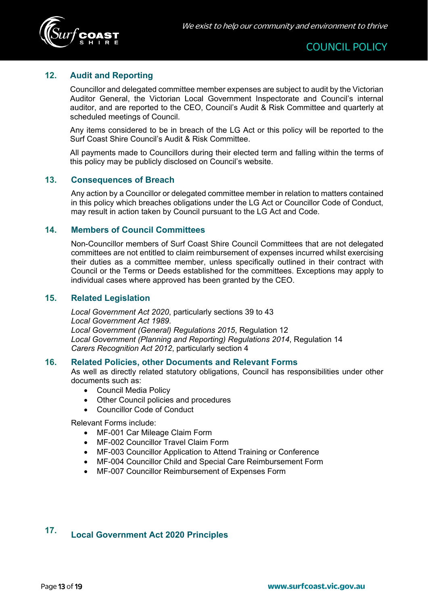

### **12. Audit and Reporting**

Councillor and delegated committee member expenses are subject to audit by the Victorian Auditor General, the Victorian Local Government Inspectorate and Council's internal auditor, and are reported to the CEO, Council's Audit & Risk Committee and quarterly at scheduled meetings of Council.

Any items considered to be in breach of the LG Act or this policy will be reported to the Surf Coast Shire Council's Audit & Risk Committee.

All payments made to Councillors during their elected term and falling within the terms of this policy may be publicly disclosed on Council's website.

#### **13. Consequences of Breach**

Any action by a Councillor or delegated committee member in relation to matters contained in this policy which breaches obligations under the LG Act or Councillor Code of Conduct, may result in action taken by Council pursuant to the LG Act and Code.

#### **14. Members of Council Committees**

Non-Councillor members of Surf Coast Shire Council Committees that are not delegated committees are not entitled to claim reimbursement of expenses incurred whilst exercising their duties as a committee member, unless specifically outlined in their contract with Council or the Terms or Deeds established for the committees. Exceptions may apply to individual cases where approved has been granted by the CEO.

#### **15. Related Legislation**

*Local Government Act 2020*, particularly sections 39 to 43 *Local Government Act 1989*. *Local Government (General) Regulations 2015*, Regulation 12 *Local Government (Planning and Reporting) Regulations 2014*, Regulation 14 *Carers Recognition Act 2012*, particularly section 4

#### **16. Related Policies, other Documents and Relevant Forms**

As well as directly related statutory obligations, Council has responsibilities under other documents such as:

- Council Media Policy
- Other Council policies and procedures
- Councillor Code of Conduct

Relevant Forms include:

- MF-001 Car Mileage Claim Form
- MF-002 Councillor Travel Claim Form
- MF-003 Councillor Application to Attend Training or Conference
- MF-004 Councillor Child and Special Care Reimbursement Form
- MF-007 Councillor Reimbursement of Expenses Form

## **17. Local Government Act 2020 Principles**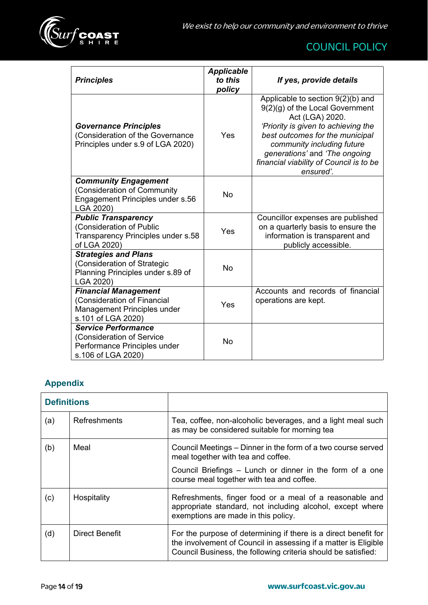

| <b>Principles</b>                                                                                               | <b>Applicable</b><br>to this<br>policy | If yes, provide details                                                                                                                                                                                                                                                                    |
|-----------------------------------------------------------------------------------------------------------------|----------------------------------------|--------------------------------------------------------------------------------------------------------------------------------------------------------------------------------------------------------------------------------------------------------------------------------------------|
| <b>Governance Principles</b><br>(Consideration of the Governance<br>Principles under s.9 of LGA 2020)           | Yes                                    | Applicable to section $9(2)(b)$ and<br>9(2)(g) of the Local Government<br>Act (LGA) 2020.<br>'Priority is given to achieving the<br>best outcomes for the municipal<br>community including future<br>generations' and 'The ongoing<br>financial viability of Council is to be<br>ensured'. |
| <b>Community Engagement</b><br>(Consideration of Community<br>Engagement Principles under s.56<br>LGA 2020)     | <b>No</b>                              |                                                                                                                                                                                                                                                                                            |
| <b>Public Transparency</b><br>(Consideration of Public<br>Transparency Principles under s.58<br>of LGA 2020)    | Yes                                    | Councillor expenses are published<br>on a quarterly basis to ensure the<br>information is transparent and<br>publicly accessible.                                                                                                                                                          |
| <b>Strategies and Plans</b><br>(Consideration of Strategic<br>Planning Principles under s.89 of<br>LGA 2020)    | <b>No</b>                              |                                                                                                                                                                                                                                                                                            |
| <b>Financial Management</b><br>(Consideration of Financial<br>Management Principles under<br>s.101 of LGA 2020) | Yes                                    | Accounts and records of financial<br>operations are kept.                                                                                                                                                                                                                                  |
| <b>Service Performance</b><br>(Consideration of Service<br>Performance Principles under<br>s.106 of LGA 2020)   | <b>No</b>                              |                                                                                                                                                                                                                                                                                            |

## **Appendix**

| <b>Definitions</b> |                       |                                                                                                                                                                                                     |
|--------------------|-----------------------|-----------------------------------------------------------------------------------------------------------------------------------------------------------------------------------------------------|
| (a)                | Refreshments          | Tea, coffee, non-alcoholic beverages, and a light meal such<br>as may be considered suitable for morning tea                                                                                        |
| (b)                | Meal                  | Council Meetings – Dinner in the form of a two course served<br>meal together with tea and coffee.                                                                                                  |
|                    |                       | Council Briefings – Lunch or dinner in the form of a one<br>course meal together with tea and coffee.                                                                                               |
| (c)                | Hospitality           | Refreshments, finger food or a meal of a reasonable and<br>appropriate standard, not including alcohol, except where<br>exemptions are made in this policy.                                         |
| (d)                | <b>Direct Benefit</b> | For the purpose of determining if there is a direct benefit for<br>the involvement of Council in assessing if a matter is Eligible<br>Council Business, the following criteria should be satisfied: |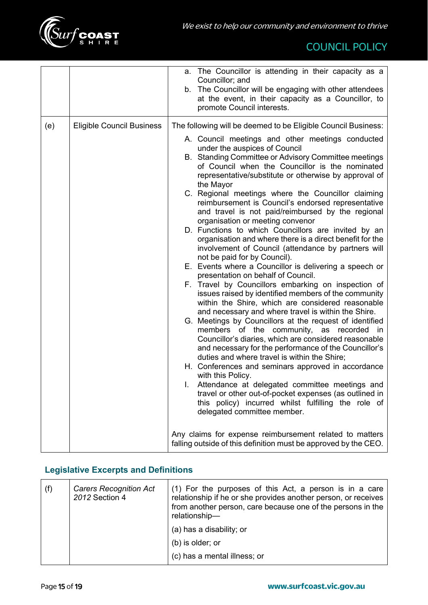|     |                                  | a. The Councillor is attending in their capacity as a<br>Councillor; and<br>b. The Councillor will be engaging with other attendees<br>at the event, in their capacity as a Councillor, to<br>promote Council interests.                                                                                                                                                                                                                                                                                                                                                                                                                                                                                                                                                                                                                                                                                                                                                                                                                                                                                                                                                                                                                                                                                                                                                                                                                                                                                                                                                                                                                |
|-----|----------------------------------|-----------------------------------------------------------------------------------------------------------------------------------------------------------------------------------------------------------------------------------------------------------------------------------------------------------------------------------------------------------------------------------------------------------------------------------------------------------------------------------------------------------------------------------------------------------------------------------------------------------------------------------------------------------------------------------------------------------------------------------------------------------------------------------------------------------------------------------------------------------------------------------------------------------------------------------------------------------------------------------------------------------------------------------------------------------------------------------------------------------------------------------------------------------------------------------------------------------------------------------------------------------------------------------------------------------------------------------------------------------------------------------------------------------------------------------------------------------------------------------------------------------------------------------------------------------------------------------------------------------------------------------------|
| (e) | <b>Eligible Council Business</b> | The following will be deemed to be Eligible Council Business:                                                                                                                                                                                                                                                                                                                                                                                                                                                                                                                                                                                                                                                                                                                                                                                                                                                                                                                                                                                                                                                                                                                                                                                                                                                                                                                                                                                                                                                                                                                                                                           |
|     |                                  | A. Council meetings and other meetings conducted<br>under the auspices of Council<br>B. Standing Committee or Advisory Committee meetings<br>of Council when the Councillor is the nominated<br>representative/substitute or otherwise by approval of<br>the Mayor<br>C. Regional meetings where the Councillor claiming<br>reimbursement is Council's endorsed representative<br>and travel is not paid/reimbursed by the regional<br>organisation or meeting convenor<br>D. Functions to which Councillors are invited by an<br>organisation and where there is a direct benefit for the<br>involvement of Council (attendance by partners will<br>not be paid for by Council).<br>E. Events where a Councillor is delivering a speech or<br>presentation on behalf of Council.<br>F. Travel by Councillors embarking on inspection of<br>issues raised by identified members of the community<br>within the Shire, which are considered reasonable<br>and necessary and where travel is within the Shire.<br>G. Meetings by Councillors at the request of identified<br>members of the community, as recorded<br>in.<br>Councillor's diaries, which are considered reasonable<br>and necessary for the performance of the Councillor's<br>duties and where travel is within the Shire;<br>H. Conferences and seminars approved in accordance<br>with this Policy.<br>Attendance at delegated committee meetings and<br>L.<br>travel or other out-of-pocket expenses (as outlined in<br>this policy) incurred whilst fulfilling the role of<br>delegated committee member.<br>Any claims for expense reimbursement related to matters |
|     |                                  | falling outside of this definition must be approved by the CEO.                                                                                                                                                                                                                                                                                                                                                                                                                                                                                                                                                                                                                                                                                                                                                                                                                                                                                                                                                                                                                                                                                                                                                                                                                                                                                                                                                                                                                                                                                                                                                                         |

## **Legislative Excerpts and Definitions**

| (f) | <b>Carers Recognition Act</b><br>2012 Section 4 | (1) For the purposes of this Act, a person is in a care<br>relationship if he or she provides another person, or receives<br>from another person, care because one of the persons in the<br>relationship- |
|-----|-------------------------------------------------|-----------------------------------------------------------------------------------------------------------------------------------------------------------------------------------------------------------|
|     |                                                 | (a) has a disability; or                                                                                                                                                                                  |
|     |                                                 | (b) is older; or                                                                                                                                                                                          |
|     |                                                 | (c) has a mental illness; or                                                                                                                                                                              |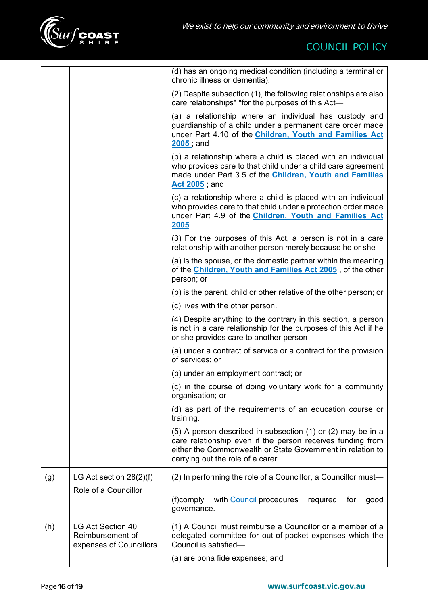

|     |                                                                  | (d) has an ongoing medical condition (including a terminal or<br>chronic illness or dementia).                                                                                                                               |  |
|-----|------------------------------------------------------------------|------------------------------------------------------------------------------------------------------------------------------------------------------------------------------------------------------------------------------|--|
|     |                                                                  | (2) Despite subsection (1), the following relationships are also<br>care relationships" "for the purposes of this Act-                                                                                                       |  |
|     |                                                                  | (a) a relationship where an individual has custody and<br>guardianship of a child under a permanent care order made<br>under Part 4.10 of the Children, Youth and Families Act<br>$2005$ ; and                               |  |
|     |                                                                  | (b) a relationship where a child is placed with an individual<br>who provides care to that child under a child care agreement<br>made under Part 3.5 of the Children, Youth and Families<br><b>Act 2005</b> , and            |  |
|     |                                                                  | (c) a relationship where a child is placed with an individual<br>who provides care to that child under a protection order made<br>under Part 4.9 of the Children, Youth and Families Act<br>$2005$ .                         |  |
|     |                                                                  | (3) For the purposes of this Act, a person is not in a care<br>relationship with another person merely because he or she-                                                                                                    |  |
|     |                                                                  | (a) is the spouse, or the domestic partner within the meaning<br>of the Children, Youth and Families Act 2005, of the other<br>person; or                                                                                    |  |
|     |                                                                  | (b) is the parent, child or other relative of the other person; or                                                                                                                                                           |  |
|     |                                                                  | (c) lives with the other person.                                                                                                                                                                                             |  |
|     |                                                                  | (4) Despite anything to the contrary in this section, a person<br>is not in a care relationship for the purposes of this Act if he<br>or she provides care to another person-                                                |  |
|     |                                                                  | (a) under a contract of service or a contract for the provision<br>of services; or                                                                                                                                           |  |
|     |                                                                  | (b) under an employment contract; or                                                                                                                                                                                         |  |
|     |                                                                  | (c) in the course of doing voluntary work for a community<br>organisation; or                                                                                                                                                |  |
|     |                                                                  | (d) as part of the requirements of an education course or<br>training.                                                                                                                                                       |  |
|     |                                                                  | (5) A person described in subsection (1) or (2) may be in a<br>care relationship even if the person receives funding from<br>either the Commonwealth or State Government in relation to<br>carrying out the role of a carer. |  |
| (g) | LG Act section $28(2)(f)$                                        | (2) In performing the role of a Councillor, a Councillor must-                                                                                                                                                               |  |
|     | Role of a Councillor                                             | (f)comply with Council procedures<br>required<br>for<br>good<br>governance.                                                                                                                                                  |  |
| (h) | LG Act Section 40<br>Reimbursement of<br>expenses of Councillors | (1) A Council must reimburse a Councillor or a member of a<br>delegated committee for out-of-pocket expenses which the<br>Council is satisfied-                                                                              |  |
|     |                                                                  | (a) are bona fide expenses; and                                                                                                                                                                                              |  |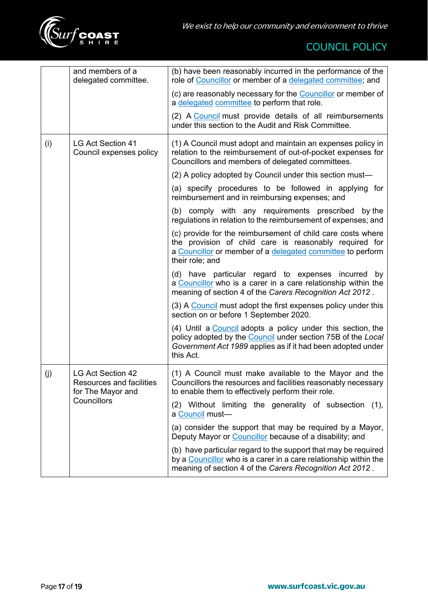

|     | and members of a<br>delegated committee.                                         | (b) have been reasonably incurred in the performance of the<br>role of Councillor or member of a delegated committee; and                                                                               |
|-----|----------------------------------------------------------------------------------|---------------------------------------------------------------------------------------------------------------------------------------------------------------------------------------------------------|
|     |                                                                                  | (c) are reasonably necessary for the Councillor or member of<br>a delegated committee to perform that role.                                                                                             |
|     |                                                                                  | (2) A Council must provide details of all reimbursements<br>under this section to the Audit and Risk Committee.                                                                                         |
| (i) | <b>LG Act Section 41</b><br>Council expenses policy                              | (1) A Council must adopt and maintain an expenses policy in<br>relation to the reimbursement of out-of-pocket expenses for<br>Councillors and members of delegated committees.                          |
|     |                                                                                  | (2) A policy adopted by Council under this section must—                                                                                                                                                |
|     |                                                                                  | (a) specify procedures to be followed in applying for<br>reimbursement and in reimbursing expenses; and                                                                                                 |
|     |                                                                                  | (b) comply with any requirements prescribed by the<br>regulations in relation to the reimbursement of expenses; and                                                                                     |
|     |                                                                                  | (c) provide for the reimbursement of child care costs where<br>the provision of child care is reasonably required for<br>a Councillor or member of a delegated committee to perform<br>their role; and  |
|     |                                                                                  | (d) have particular regard to expenses incurred by<br>a Councillor who is a carer in a care relationship within the<br>meaning of section 4 of the Carers Recognition Act 2012.                         |
|     |                                                                                  | (3) A Council must adopt the first expenses policy under this<br>section on or before 1 September 2020.                                                                                                 |
|     |                                                                                  | (4) Until a Council adopts a policy under this section, the<br>policy adopted by the Council under section 75B of the Local<br>Government Act 1989 applies as if it had been adopted under<br>this Act. |
| (j) | <b>LG Act Section 42</b><br><b>Resources and facilities</b><br>for The Mayor and | (1) A Council must make available to the Mayor and the<br>Councillors the resources and facilities reasonably necessary<br>to enable them to effectively perform their role.                            |
|     | Councillors                                                                      | (2) Without limiting the generality of subsection<br>(1),<br>a Council must-                                                                                                                            |
|     |                                                                                  | (a) consider the support that may be required by a Mayor,<br>Deputy Mayor or Councillor because of a disability; and                                                                                    |
|     |                                                                                  | (b) have particular regard to the support that may be required<br>by a Councillor who is a carer in a care relationship within the<br>meaning of section 4 of the Carers Recognition Act 2012.          |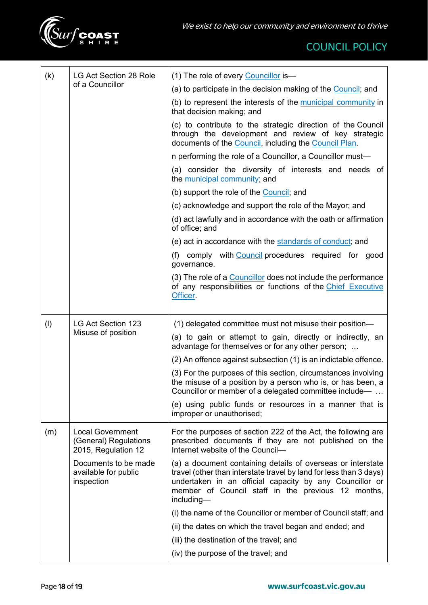

| (k) | LG Act Section 28 Role<br>of a Councillor                               | (1) The role of every Councillor is-                                                                                                                                                                                                                             |
|-----|-------------------------------------------------------------------------|------------------------------------------------------------------------------------------------------------------------------------------------------------------------------------------------------------------------------------------------------------------|
|     |                                                                         | (a) to participate in the decision making of the Council; and                                                                                                                                                                                                    |
|     |                                                                         | (b) to represent the interests of the municipal community in<br>that decision making; and                                                                                                                                                                        |
|     |                                                                         | (c) to contribute to the strategic direction of the Council<br>through the development and review of key strategic<br>documents of the Council, including the Council Plan.                                                                                      |
|     |                                                                         | n performing the role of a Councillor, a Councillor must-                                                                                                                                                                                                        |
|     |                                                                         | (a) consider the diversity of interests and needs of<br>the municipal community; and                                                                                                                                                                             |
|     |                                                                         | (b) support the role of the Council; and                                                                                                                                                                                                                         |
|     |                                                                         | (c) acknowledge and support the role of the Mayor; and                                                                                                                                                                                                           |
|     |                                                                         | (d) act lawfully and in accordance with the oath or affirmation<br>of office; and                                                                                                                                                                                |
|     |                                                                         | (e) act in accordance with the standards of conduct; and                                                                                                                                                                                                         |
|     |                                                                         | (f) comply with Council procedures required for good<br>governance.                                                                                                                                                                                              |
|     |                                                                         | (3) The role of a Councillor does not include the performance<br>of any responsibilities or functions of the Chief Executive<br>Officer.                                                                                                                         |
|     |                                                                         |                                                                                                                                                                                                                                                                  |
| (1) | LG Act Section 123                                                      | (1) delegated committee must not misuse their position—                                                                                                                                                                                                          |
|     | Misuse of position                                                      | (a) to gain or attempt to gain, directly or indirectly, an<br>advantage for themselves or for any other person;                                                                                                                                                  |
|     |                                                                         | (2) An offence against subsection (1) is an indictable offence.                                                                                                                                                                                                  |
|     |                                                                         | (3) For the purposes of this section, circumstances involving<br>the misuse of a position by a person who is, or has been, a<br>Councillor or member of a delegated committee include—                                                                           |
|     |                                                                         | (e) using public funds or resources in a manner that is<br>improper or unauthorised;                                                                                                                                                                             |
| (m) | <b>Local Government</b><br>(General) Regulations<br>2015, Regulation 12 | For the purposes of section 222 of the Act, the following are<br>prescribed documents if they are not published on the<br>Internet website of the Council-                                                                                                       |
|     | Documents to be made<br>available for public<br>inspection              | (a) a document containing details of overseas or interstate<br>travel (other than interstate travel by land for less than 3 days)<br>undertaken in an official capacity by any Councillor or<br>member of Council staff in the previous 12 months,<br>including- |
|     |                                                                         | (i) the name of the Councillor or member of Council staff; and                                                                                                                                                                                                   |
|     |                                                                         | (ii) the dates on which the travel began and ended; and                                                                                                                                                                                                          |
|     |                                                                         | (iii) the destination of the travel; and                                                                                                                                                                                                                         |
|     |                                                                         | (iv) the purpose of the travel; and                                                                                                                                                                                                                              |